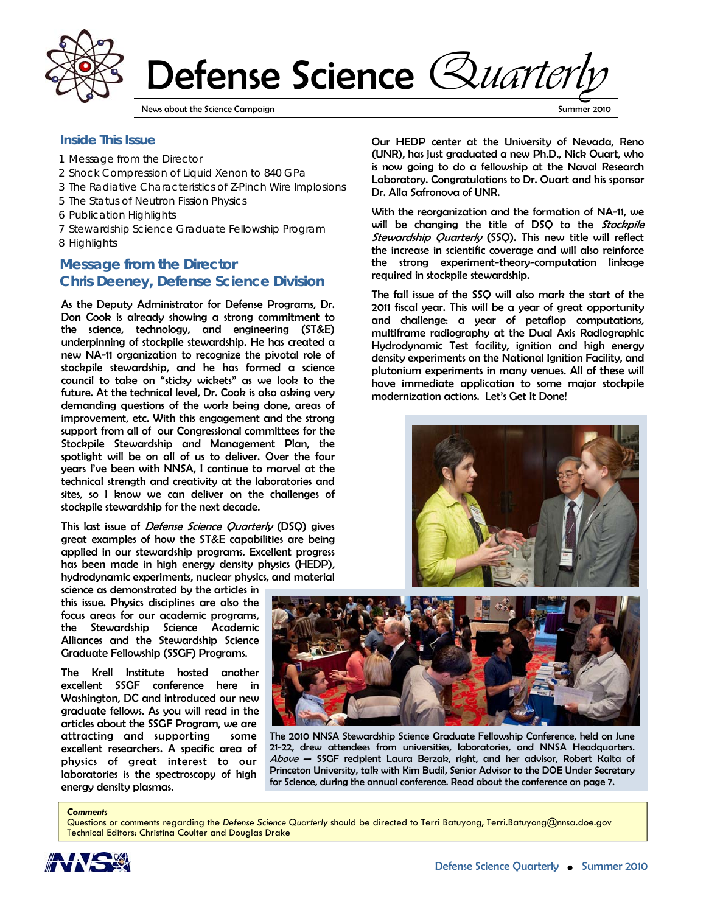

Defense Science *Quarterly*

News about the Science Campaign Summer 2010 Summer 2010

**Inside This Issue** 

- 1 Message from the Director
- 2 Shock Compression of Liquid Xenon to 840 GPa
- 3 The Radiative Characteristics of Z-Pinch Wire Implosions
- 5 The Status of Neutron Fission Physics
- 6 Publication Highlights
- 7 Stewardship Science Graduate Fellowship Program 8 Highlights

# **Message from the Director Chris Deeney, Defense Science Division**

As the Deputy Administrator for Defense Programs, Dr. Don Cook is already showing a strong commitment to the science, technology, and engineering (ST&E) underpinning of stockpile stewardship. He has created a new NA-11 organization to recognize the pivotal role of stockpile stewardship, and he has formed a science council to take on "sticky wickets" as we look to the future. At the technical level, Dr. Cook is also asking very demanding questions of the work being done, areas of improvement, etc. With this engagement and the strong support from all of our Congressional committees for the Stockpile Stewardship and Management Plan, the spotlight will be on all of us to deliver. Over the four years I've been with NNSA, I continue to marvel at the technical strength and creativity at the laboratories and sites, so I know we can deliver on the challenges of stockpile stewardship for the next decade.

This last issue of *Defense Science Quarterly* (DSQ) gives great examples of how the ST&E capabilities are being applied in our stewardship programs. Excellent progress has been made in high energy density physics (HEDP), hydrodynamic experiments, nuclear physics, and material

science as demonstrated by the articles in this issue. Physics disciplines are also the focus areas for our academic programs, the Stewardship Science Academic Alliances and the Stewardship Science Graduate Fellowship (SSGF) Programs.

The Krell Institute hosted another excellent SSGF conference here in Washington, DC and introduced our new graduate fellows. As you will read in the articles about the SSGF Program, we are attracting and supporting some excellent researchers. A specific area of physics of great interest to our laboratories is the spectroscopy of high energy density plasmas.

Our HEDP center at the University of Nevada, Reno (UNR), has just graduated a new Ph.D., Nick Ouart, who is now going to do a fellowship at the Naval Research Laboratory. Congratulations to Dr. Ouart and his sponsor Dr. Alla Safronova of UNR.

With the reorganization and the formation of NA-11, we will be changing the title of DSQ to the *Stockpile* Stewardship Quarterly (SSQ). This new title will reflect the increase in scientific coverage and will also reinforce the strong experiment-theory-computation linkage required in stockpile stewardship.

The fall issue of the SSQ will also mark the start of the 2011 fiscal year. This will be a year of great opportunity and challenge: a year of petaflop computations, multiframe radiography at the Dual Axis Radiographic Hydrodynamic Test facility, ignition and high energy density experiments on the National Ignition Facility, and plutonium experiments in many venues. All of these will have immediate application to some major stockpile modernization actions. Let's Get It Done!





The 2010 NNSA Stewardship Science Graduate Fellowship Conference, held on June 21-22, drew attendees from universities, laboratories, and NNSA Headquarters. Above - SSGF recipient Laura Berzak, right, and her advisor, Robert Kaita of Princeton University, talk with Kim Budil, Senior Advisor to the DOE Under Secretary for Science, during the annual conference. Read about the conference on page 7.

**Comments**<br>Questions or comments regarding the *Defense Science Quarterly* should be directed to Terri Batuyong, Terri.Batuyong@nnsa.doe.gov Technical Editors: Christina Coulter and Douglas Drake

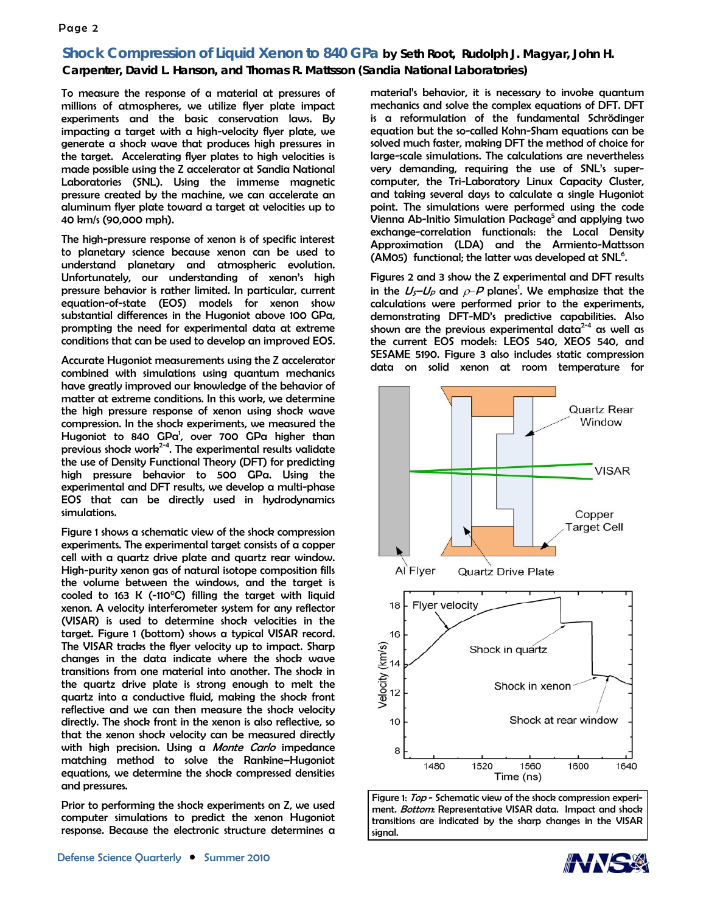## Page 2

**Shock Compression of Liquid Xenon to 840 GPa by Seth Root, Rudolph J. Magyar, John H. Carpenter, David L. Hanson, and Thomas R. Mattsson (Sandia National Laboratories)**

To measure the response of a material at pressures of millions of atmospheres, we utilize flyer plate impact experiments and the basic conservation laws. By impacting a target with a high-velocity flyer plate, we generate a shock wave that produces high pressures in the target. Accelerating flyer plates to high velocities is made possible using the Z accelerator at Sandia National Laboratories (SNL). Using the immense magnetic pressure created by the machine, we can accelerate an aluminum flyer plate toward a target at velocities up to 40 km/s (90,000 mph).

The high-pressure response of xenon is of specific interest to planetary science because xenon can be used to understand planetary and atmospheric evolution. Unfortunately, our understanding of xenon's high pressure behavior is rather limited. In particular, current equation-of-state (EOS) models for xenon show substantial differences in the Hugoniot above 100 GPa, prompting the need for experimental data at extreme conditions that can be used to develop an improved EOS.

Accurate Hugoniot measurements using the Z accelerator combined with simulations using quantum mechanics have greatly improved our knowledge of the behavior of matter at extreme conditions. In this work, we determine the high pressure response of xenon using shock wave compression. In the shock experiments, we measured the Hugoniot to 840  $GPa^{\dagger}$ , over 700  $GPa$  higher than previous shock work<sup>2-4</sup>. The experimental results validate the use of Density Functional Theory (DFT) for predicting high pressure behavior to 500 GPa. Using the experimental and DFT results, we develop a multi-phase EOS that can be directly used in hydrodynamics simulations.

Figure 1 shows a schematic view of the shock compression experiments. The experimental target consists of a copper cell with a quartz drive plate and quartz rear window. High-purity xenon gas of natural isotope composition fills the volume between the windows, and the target is cooled to 163 K (-110°C) filling the target with liquid xenon. A velocity interferometer system for any reflector (VISAR) is used to determine shock velocities in the target. Figure 1 (bottom) shows a typical VISAR record. The VISAR tracks the flyer velocity up to impact. Sharp changes in the data indicate where the shock wave transitions from one material into another. The shock in the quartz drive plate is strong enough to melt the quartz into a conductive fluid, making the shock front reflective and we can then measure the shock velocity directly. The shock front in the xenon is also reflective, so that the xenon shock velocity can be measured directly with high precision. Using a Monte Carlo impedance matching method to solve the Rankine–Hugoniot equations, we determine the shock compressed densities and pressures.

Prior to performing the shock experiments on Z, we used computer simulations to predict the xenon Hugoniot response. Because the electronic structure determines a

material's behavior, it is necessary to invoke quantum mechanics and solve the complex equations of DFT. DFT is a reformulation of the fundamental Schrödinger equation but the so-called Kohn-Sham equations can be solved much faster, making DFT the method of choice for large-scale simulations. The calculations are nevertheless very demanding, requiring the use of SNL's supercomputer, the Tri-Laboratory Linux Capacity Cluster, and taking several days to calculate a single Hugoniot point. The simulations were performed using the code Vienna Ab-Initio Simulation Package<sup>5</sup> and applying two exchange-correlation functionals: the Local Density Approximation (LDA) and the Armiento-Mattsson (AM05) functional; the latter was developed at SNL<sup>6</sup>.

Figures 2 and 3 show the Z experimental and DFT results in the  $\iota_{\mathcal{S}}$ – $\iota_{\mathcal{D}}$  and  $\rho$ – $\boldsymbol{\rho}$  planes $^!$ . We emphasize that the calculations were performed prior to the experiments, demonstrating DFT-MD's predictive capabilities. Also shown are the previous experimental data<sup>2-4</sup> as well as the current EOS models: LEOS 540, XEOS 540, and SESAME 5190. Figure 3 also includes static compression data on solid xenon at room temperature for



Figure 1: Top - Schematic view of the shock compression experiment. Bottom: Representative VISAR data. Impact and shock transitions are indicated by the sharp changes in the VISAR signal.

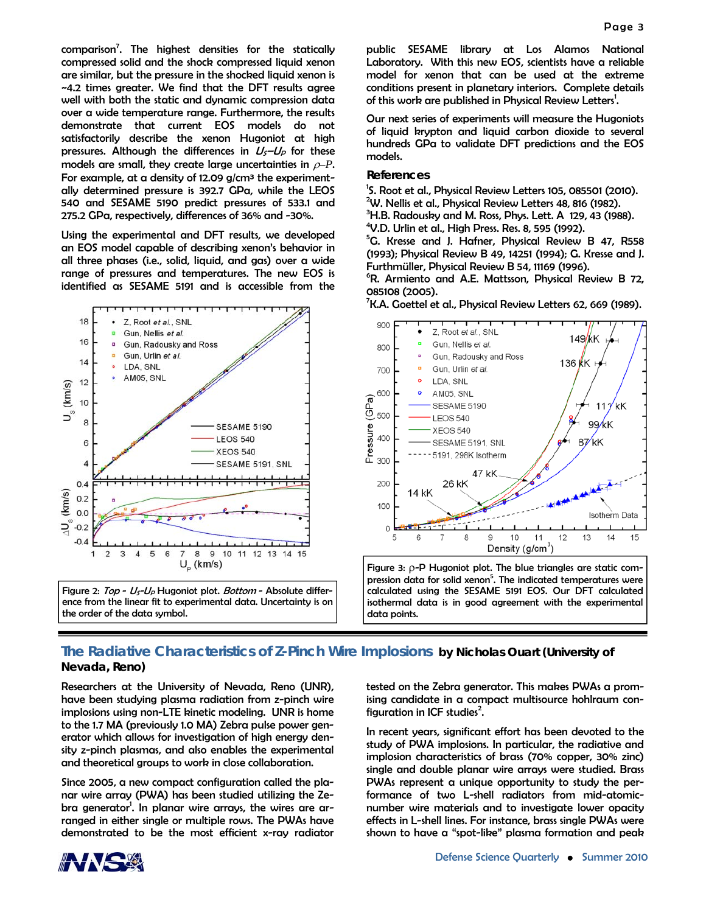comparison7 . The highest densities for the statically compressed solid and the shock compressed liquid xenon are similar, but the pressure in the shocked liquid xenon is ~4.2 times greater. We find that the DFT results agree well with both the static and dynamic compression data over a wide temperature range. Furthermore, the results demonstrate that current EOS models do not satisfactorily describe the xenon Hugoniot at high pressures. Although the differences in  $U_s-U_p$  for these models are small, they create large uncertainties in ρ*–P*. For example, at a density of 12.09  $g/cm^3$  the experimentally determined pressure is 392.7 GPa, while the LEOS 540 and SESAME 5190 predict pressures of 533.1 and 275.2 GPa, respectively, differences of 36% and -30%.

Using the experimental and DFT results, we developed an EOS model capable of describing xenon's behavior in all three phases (i.e., solid, liquid, and gas) over a wide range of pressures and temperatures. The new EOS is identified as SESAME 5191 and is accessible from the



Figure 2: Top -  $U_s$ - $U_p$  Hugoniot plot. Bottom - Absolute difference from the linear fit to experimental data. Uncertainty is on the order of the data symbol.

public SESAME library at Los Alamos National Laboratory. With this new EOS, scientists have a reliable model for xenon that can be used at the extreme conditions present in planetary interiors. Complete details of this work are published in Physical Review Letters<sup>1</sup>.

Our next series of experiments will measure the Hugoniots of liquid krypton and liquid carbon dioxide to several hundreds GPa to validate DFT predictions and the EOS models.

#### **References**

<sup>1</sup>S. Root et al., Physical Review Letters 105, 085501 (2010).

- $2$ W. Nellis et al., Physical Review Letters 48, 816 (1982).
- $^3$ H.B. Radousky and M. Ross, Phys. Lett. A 129, 43 (1988).<br> $^{4}$ U.D. Urlin at al. High Dress, Res. 8, 505 (1993).
- $4$ V.D. Urlin et al., High Press. Res. 8, 595 (1992).

5 G. Kresse and J. Hafner, Physical Review B 47, R558 (1993); Physical Review B 49, 14251 (1994); G. Kresse and J. Furthmüller, Physical Review B 54, 11169 (1996). 6

<sup>6</sup>R. Armiento and A.E. Mattsson, Physical Review B 72, 085108 (2005).

<sup>7</sup> K.A. Goettel et al., Physical Review Letters 62, 669 (1989).



Figure 3: ρ-P Hugoniot plot. The blue triangles are static compression data for solid xenon<sup>5</sup>. The indicated temperatures were calculated using the SESAME 5191 EOS. Our DFT calculated isothermal data is in good agreement with the experimental data points.

# **The Radiative Characteristics of Z-Pinch Wire Implosions by Nicholas Ouart (University of Nevada, Reno)**

Researchers at the University of Nevada, Reno (UNR), have been studying plasma radiation from z-pinch wire implosions using non-LTE kinetic modeling. UNR is home to the 1.7 MA (previously 1.0 MA) Zebra pulse power generator which allows for investigation of high energy density z-pinch plasmas, and also enables the experimental and theoretical groups to work in close collaboration.

Since 2005, a new compact configuration called the planar wire array (PWA) has been studied utilizing the Zebra generator<sup>1</sup>. In planar wire arrays, the wires are arranged in either single or multiple rows. The PWAs have demonstrated to be the most efficient x-ray radiator

tested on the Zebra generator. This makes PWAs a promising candidate in a compact multisource hohlraum configuration in ICF studies<sup>2</sup>.

In recent years, significant effort has been devoted to the study of PWA implosions. In particular, the radiative and implosion characteristics of brass (70% copper, 30% zinc) single and double planar wire arrays were studied. Brass PWAs represent a unique opportunity to study the performance of two L-shell radiators from mid-atomicnumber wire materials and to investigate lower opacity effects in L-shell lines. For instance, brass single PWAs were shown to have a "spot-like" plasma formation and peak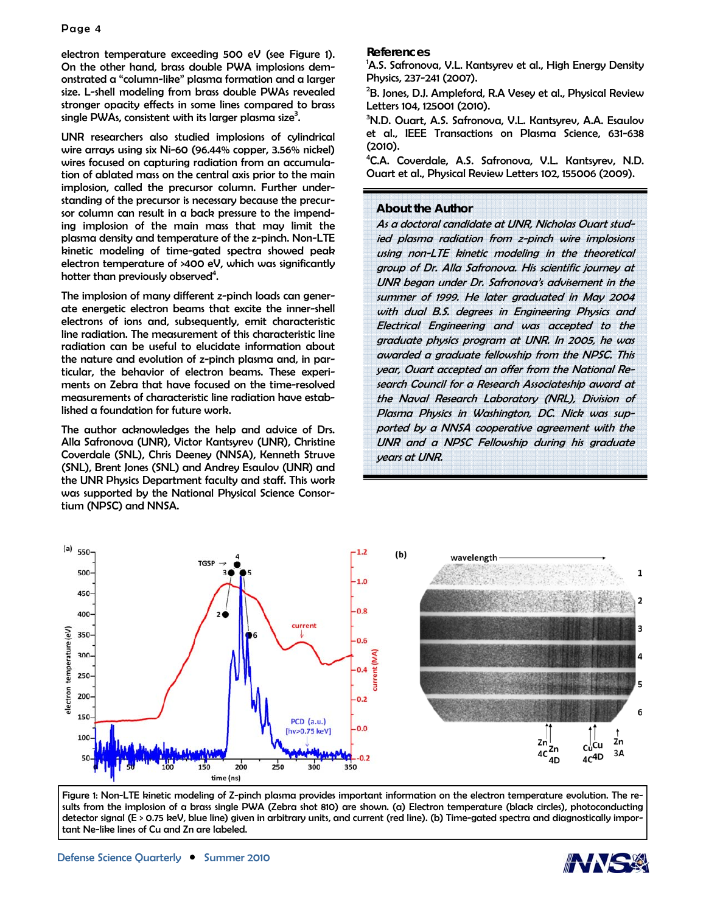## Page 4

electron temperature exceeding 500 eV (see Figure 1). On the other hand, brass double PWA implosions demonstrated a "column-like" plasma formation and a larger size. L-shell modeling from brass double PWAs revealed stronger opacity effects in some lines compared to brass single PWAs, consistent with its larger plasma size $^3$ .

UNR researchers also studied implosions of cylindrical wire arrays using six Ni-60 (96.44% copper, 3.56% nickel) wires focused on capturing radiation from an accumulation of ablated mass on the central axis prior to the main implosion, called the precursor column. Further understanding of the precursor is necessary because the precursor column can result in a back pressure to the impending implosion of the main mass that may limit the plasma density and temperature of the z-pinch. Non-LTE kinetic modeling of time-gated spectra showed peak electron temperature of >400 eV, which was significantly hotter than previously observed<sup>4</sup>.

The implosion of many different z-pinch loads can generate energetic electron beams that excite the inner-shell electrons of ions and, subsequently, emit characteristic line radiation. The measurement of this characteristic line radiation can be useful to elucidate information about the nature and evolution of z-pinch plasma and, in particular, the behavior of electron beams. These experiments on Zebra that have focused on the time-resolved measurements of characteristic line radiation have established a foundation for future work.

The author acknowledges the help and advice of Drs. Alla Safronova (UNR), Victor Kantsyrev (UNR), Christine Coverdale (SNL), Chris Deeney (NNSA), Kenneth Struve (SNL), Brent Jones (SNL) and Andrey Esaulov (UNR) and the UNR Physics Department faculty and staff. This work was supported by the National Physical Science Consortium (NPSC) and NNSA.

## **References**

<sup>1</sup>A.S. Safronova, V.L. Kantsyrev et al., High Energy Density Physics, 237-241 (2007).

 $^{2}$ B. Jones, D.J. Ampleford, R.A Vesey et al., Physical Review Letters 104, 125001 (2010).

3 N.D. Ouart, A.S. Safronova, V.L. Kantsyrev, A.A. Esaulov et al., IEEE Transactions on Plasma Science, 631-638 (2010).

4 C.A. Coverdale, A.S. Safronova, V.L. Kantsyrev, N.D. Ouart et al., Physical Review Letters 102, 155006 (2009).

## *About the Author*

As a doctoral candidate at UNR, Nicholas Ouart studied plasma radiation from z-pinch wire implosions using non-LTE kinetic modeling in the theoretical group of Dr. Alla Safronova. His scientific journey at UNR began under Dr. Safronova's advisement in the summer of 1999. He later graduated in May 2004 with dual B.S. degrees in Engineering Physics and Electrical Engineering and was accepted to the graduate physics program at UNR. In 2005, he was awarded a graduate fellowship from the NPSC. This year, Ouart accepted an offer from the National Research Council for a Research Associateship award at the Naval Research Laboratory (NRL), Division of Plasma Physics in Washington, DC. Nick was supported by a NNSA cooperative agreement with the UNR and a NPSC Fellowship during his graduate years at UNR.



Figure 1: Non-LTE kinetic modeling of Z-pinch plasma provides important information on the electron temperature evolution. The results from the implosion of a brass single PWA (Zebra shot 810) are shown. (a) Electron temperature (black circles), photoconducting detector signal (E > 0.75 keV, blue line) given in arbitrary units, and current (red line). (b) Time-gated spectra and diagnostically important Ne-like lines of Cu and Zn are labeled.

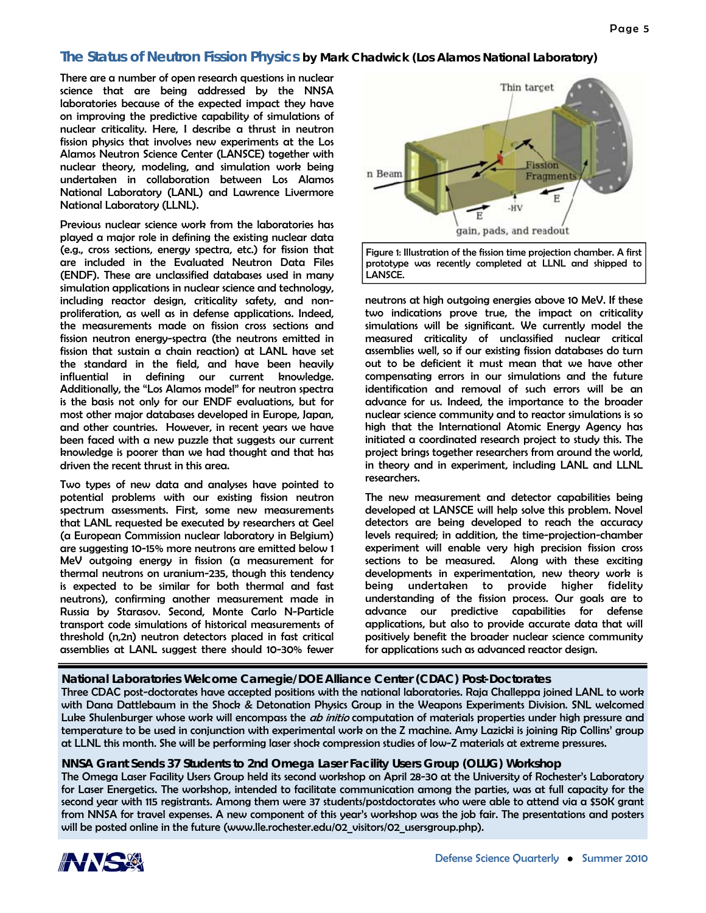# **The Status of Neutron Fission Physics by Mark Chadwick (Los Alamos National Laboratory)**

There are a number of open research questions in nuclear science that are being addressed by the NNSA laboratories because of the expected impact they have on improving the predictive capability of simulations of nuclear criticality. Here, I describe a thrust in neutron fission physics that involves new experiments at the Los Alamos Neutron Science Center (LANSCE) together with nuclear theory, modeling, and simulation work being undertaken in collaboration between Los Alamos National Laboratory (LANL) and Lawrence Livermore National Laboratory (LLNL).

Previous nuclear science work from the laboratories has played a major role in defining the existing nuclear data (e.g., cross sections, energy spectra, etc.) for fission that are included in the Evaluated Neutron Data Files (ENDF). These are unclassified databases used in many simulation applications in nuclear science and technology, including reactor design, criticality safety, and nonproliferation, as well as in defense applications. Indeed, the measurements made on fission cross sections and fission neutron energy-spectra (the neutrons emitted in fission that sustain a chain reaction) at LANL have set the standard in the field, and have been heavily influential in defining our current knowledge. Additionally, the "Los Alamos model" for neutron spectra is the basis not only for our ENDF evaluations, but for most other major databases developed in Europe, Japan, and other countries. However, in recent years we have been faced with a new puzzle that suggests our current knowledge is poorer than we had thought and that has driven the recent thrust in this area.

Two types of new data and analyses have pointed to potential problems with our existing fission neutron spectrum assessments. First, some new measurements that LANL requested be executed by researchers at Geel (a European Commission nuclear laboratory in Belgium) are suggesting 10-15% more neutrons are emitted below 1 MeV outgoing energy in fission (a measurement for thermal neutrons on uranium-235, though this tendency is expected to be similar for both thermal and fast neutrons), confirming another measurement made in Russia by Starasov. Second, Monte Carlo N-Particle transport code simulations of historical measurements of threshold (n,2n) neutron detectors placed in fast critical assemblies at LANL suggest there should 10-30% fewer



Figure 1: Illustration of the fission time projection chamber. A first prototype was recently completed at LLNL and shipped to LANSCE.

neutrons at high outgoing energies above 10 MeV. If these two indications prove true, the impact on criticality simulations will be significant. We currently model the measured criticality of unclassified nuclear critical assemblies well, so if our existing fission databases do turn out to be deficient it must mean that we have other compensating errors in our simulations and the future identification and removal of such errors will be an advance for us. Indeed, the importance to the broader nuclear science community and to reactor simulations is so high that the International Atomic Energy Agency has initiated a coordinated research project to study this. The project brings together researchers from around the world, in theory and in experiment, including LANL and LLNL researchers.

The new measurement and detector capabilities being developed at LANSCE will help solve this problem. Novel detectors are being developed to reach the accuracy levels required; in addition, the time-projection-chamber experiment will enable very high precision fission cross sections to be measured. Along with these exciting developments in experimentation, new theory work is being undertaken to provide higher fidelity understanding of the fission process. Our goals are to advance our predictive capabilities for defense applications, but also to provide accurate data that will positively benefit the broader nuclear science community for applications such as advanced reactor design.

**National Laboratories Welcome Carnegie/DOE Alliance Center (CDAC) Post-Doctorates**  Three CDAC post-doctorates have accepted positions with the national laboratories. Raja Challeppa joined LANL to work with Dana Dattlebaum in the Shock & Detonation Physics Group in the Weapons Experiments Division. SNL welcomed Luke Shulenburger whose work will encompass the *ab initio* computation of materials properties under high pressure and temperature to be used in conjunction with experimental work on the Z machine. Amy Lazicki is joining Rip Collins' group at LLNL this month. She will be performing laser shock compression studies of low-Z materials at extreme pressures.

## **NNSA Grant Sends 37 Students to 2nd Omega Laser Facility Users Group (OLUG) Workshop**

The Omega Laser Facility Users Group held its second workshop on April 28-30 at the University of Rochester's Laboratory for Laser Energetics. The workshop, intended to facilitate communication among the parties, was at full capacity for the second year with 115 registrants. Among them were 37 students/postdoctorates who were able to attend via a \$50K grant from NNSA for travel expenses. A new component of this year's workshop was the job fair. The presentations and posters will be posted online in the future (www.lle.rochester.edu/02 visitors/02 usersgroup.php).

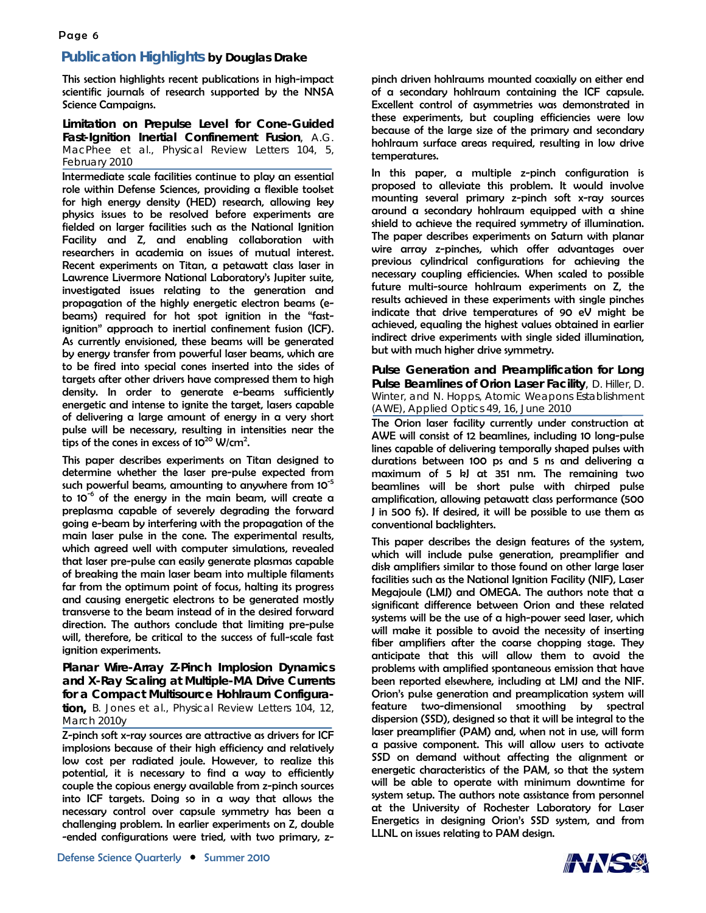# **Publication Highlights by Douglas Drake**

This section highlights recent publications in high-impact scientific journals of research supported by the NNSA Science Campaigns.

**Limitation on Prepulse Level for Cone-Guided Fast-Ignition Inertial Confinement Fusion**, A.G. MacPhee et al., Physical Review Letters 104, 5, February 2010

Intermediate scale facilities continue to play an essential role within Defense Sciences, providing a flexible toolset for high energy density (HED) research, allowing key physics issues to be resolved before experiments are fielded on larger facilities such as the National Ignition Facility and Z, and enabling collaboration with researchers in academia on issues of mutual interest. Recent experiments on Titan, a petawatt class laser in Lawrence Livermore National Laboratory's Jupiter suite, investigated issues relating to the generation and propagation of the highly energetic electron beams (ebeams) required for hot spot ignition in the "fastignition" approach to inertial confinement fusion (ICF). As currently envisioned, these beams will be generated by energy transfer from powerful laser beams, which are to be fired into special cones inserted into the sides of targets after other drivers have compressed them to high density. In order to generate e-beams sufficiently energetic and intense to ignite the target, lasers capable of delivering a large amount of energy in a very short pulse will be necessary, resulting in intensities near the tips of the cones in excess of 10<sup>20</sup> W/cm<sup>2</sup>.

This paper describes experiments on Titan designed to determine whether the laser pre-pulse expected from such powerful beams, amounting to anywhere from 10<sup>-5</sup> to 10<sup>-6</sup> of the energy in the main beam, will create a preplasma capable of severely degrading the forward going e-beam by interfering with the propagation of the main laser pulse in the cone. The experimental results, which agreed well with computer simulations, revealed that laser pre-pulse can easily generate plasmas capable of breaking the main laser beam into multiple filaments far from the optimum point of focus, halting its progress and causing energetic electrons to be generated mostly transverse to the beam instead of in the desired forward direction. The authors conclude that limiting pre-pulse will, therefore, be critical to the success of full-scale fast ignition experiments.

**Planar Wire-Array Z-Pinch Implosion Dynamics and X-Ray Scaling at Multiple-MA Drive Currents for a Compact Multisource Hohlraum Configuration,** B. Jones et al., Physical Review Letters 104, 12, March 2010y

Z-pinch soft x-ray sources are attractive as drivers for ICF implosions because of their high efficiency and relatively low cost per radiated joule. However, to realize this potential, it is necessary to find a way to efficiently couple the copious energy available from z-pinch sources into ICF targets. Doing so in a way that allows the necessary control over capsule symmetry has been a challenging problem. In earlier experiments on Z, double -ended configurations were tried, with two primary, z-

pinch driven hohlraums mounted coaxially on either end of a secondary hohlraum containing the ICF capsule. Excellent control of asymmetries was demonstrated in these experiments, but coupling efficiencies were low because of the large size of the primary and secondary hohlraum surface areas required, resulting in low drive temperatures.

In this paper, a multiple z-pinch configuration is proposed to alleviate this problem. It would involve mounting several primary z-pinch soft x-ray sources around a secondary hohlraum equipped with a shine shield to achieve the required symmetry of illumination. The paper describes experiments on Saturn with planar wire array z-pinches, which offer advantages over previous cylindrical configurations for achieving the necessary coupling efficiencies. When scaled to possible future multi-source hohlraum experiments on Z, the results achieved in these experiments with single pinches indicate that drive temperatures of 90 eV might be achieved, equaling the highest values obtained in earlier indirect drive experiments with single sided illumination, but with much higher drive symmetry.

**Pulse Generation and Preamplification for Long Pulse Beamlines of Orion Laser Facility**, D. Hiller, D. Winter, and N. Hopps, Atomic Weapons Establishment (AWE), Applied Optics 49, 16, June 2010

The Orion laser facility currently under construction at AWE will consist of 12 beamlines, including 10 long-pulse lines capable of delivering temporally shaped pulses with durations between 100 ps and 5 ns and delivering a maximum of 5 kJ at 351 nm. The remaining two beamlines will be short pulse with chirped pulse amplification, allowing petawatt class performance (500 J in 500 fs). If desired, it will be possible to use them as conventional backlighters.

This paper describes the design features of the system, which will include pulse generation, preamplifier and disk amplifiers similar to those found on other large laser facilities such as the National Ignition Facility (NIF), Laser Megajoule (LMJ) and OMEGA. The authors note that a significant difference between Orion and these related systems will be the use of a high-power seed laser, which will make it possible to avoid the necessity of inserting fiber amplifiers after the coarse chopping stage. They anticipate that this will allow them to avoid the problems with amplified spontaneous emission that have been reported elsewhere, including at LMJ and the NIF. Orion's pulse generation and preamplication system will feature two-dimensional smoothing by spectral dispersion (SSD), designed so that it will be integral to the laser preamplifier (PAM) and, when not in use, will form a passive component. This will allow users to activate SSD on demand without affecting the alignment or energetic characteristics of the PAM, so that the system will be able to operate with minimum downtime for system setup. The authors note assistance from personnel at the University of Rochester Laboratory for Laser Energetics in designing Orion's SSD system, and from LLNL on issues relating to PAM design.

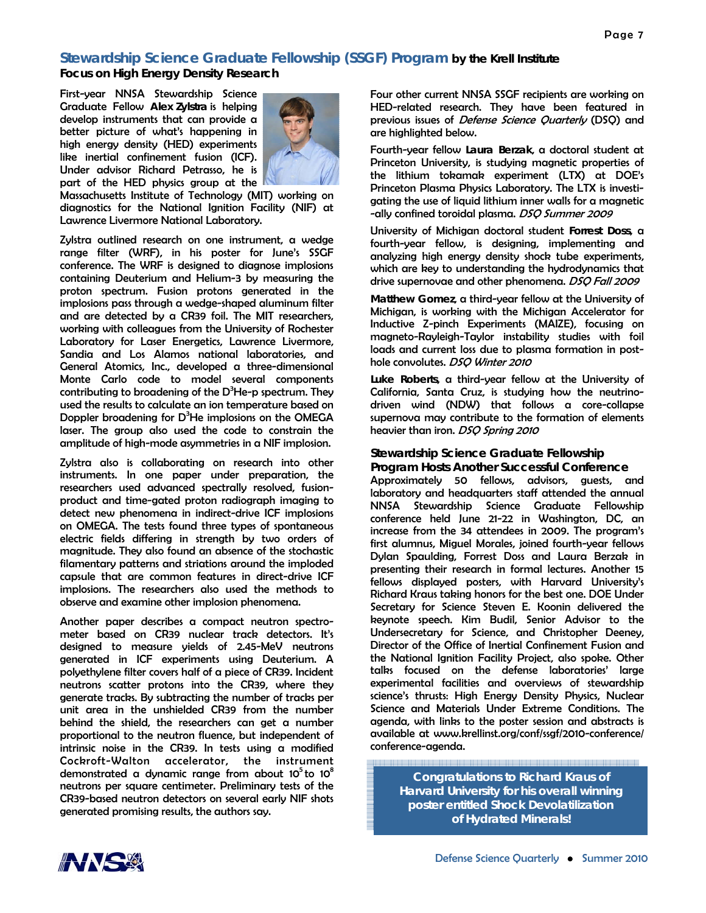# **Stewardship Science Graduate Fellowship (SSGF) Program by the Krell Institute Focus on High Energy Density Research**

First-year NNSA Stewardship Science Graduate Fellow **Alex Zylstra** is helping develop instruments that can provide a better picture of what's happening in high energy density (HED) experiments like inertial confinement fusion (ICF). Under advisor Richard Petrasso, he is part of the HED physics group at the



Massachusetts Institute of Technology (MIT) working on diagnostics for the National Ignition Facility (NIF) at Lawrence Livermore National Laboratory.

Zylstra outlined research on one instrument, a wedge range filter (WRF), in his poster for June's SSGF conference. The WRF is designed to diagnose implosions containing Deuterium and Helium-3 by measuring the proton spectrum. Fusion protons generated in the implosions pass through a wedge-shaped aluminum filter and are detected by a CR39 foil. The MIT researchers, working with colleagues from the University of Rochester Laboratory for Laser Energetics, Lawrence Livermore, Sandia and Los Alamos national laboratories, and General Atomics, Inc., developed a three-dimensional Monte Carlo code to model several components contributing to broadening of the  $D^3$ He-p spectrum. They used the results to calculate an ion temperature based on Doppler broadening for D<sup>3</sup>He implosions on the OMEGA laser. The group also used the code to constrain the amplitude of high-mode asymmetries in a NIF implosion.

Zylstra also is collaborating on research into other instruments. In one paper under preparation, the researchers used advanced spectrally resolved, fusionproduct and time-gated proton radiograph imaging to detect new phenomena in indirect-drive ICF implosions on OMEGA. The tests found three types of spontaneous electric fields differing in strength by two orders of magnitude. They also found an absence of the stochastic filamentary patterns and striations around the imploded capsule that are common features in direct-drive ICF implosions. The researchers also used the methods to observe and examine other implosion phenomena.

Another paper describes a compact neutron spectrometer based on CR39 nuclear track detectors. It's designed to measure yields of 2.45-MeV neutrons generated in ICF experiments using Deuterium. A polyethylene filter covers half of a piece of CR39. Incident neutrons scatter protons into the CR39, where they generate tracks. By subtracting the number of tracks per unit area in the unshielded CR39 from the number behind the shield, the researchers can get a number proportional to the neutron fluence, but independent of intrinsic noise in the CR39. In tests using a modified Cockroft-Walton accelerator, the instrument demonstrated a dynamic range from about  $10^5$  to  $10^8$ neutrons per square centimeter. Preliminary tests of the CR39-based neutron detectors on several early NIF shots generated promising results, the authors say.

Four other current NNSA SSGF recipients are working on HED-related research. They have been featured in previous issues of Defense Science Quarterly (DSQ) and are highlighted below.

Fourth-year fellow **Laura Berzak**, a doctoral student at Princeton University, is studying magnetic properties of the lithium tokamak experiment (LTX) at DOE's Princeton Plasma Physics Laboratory. The LTX is investigating the use of liquid lithium inner walls for a magnetic -ally confined toroidal plasma. DSO Summer 2009

University of Michigan doctoral student **Forrest Doss**, a fourth-year fellow, is designing, implementing and analyzing high energy density shock tube experiments, which are key to understanding the hydrodynamics that drive supernovae and other phenomena. DSO Fall 2009

**Matthew Gomez**, a third-year fellow at the University of Michigan, is working with the Michigan Accelerator for Inductive Z-pinch Experiments (MAIZE), focusing on magneto-Rayleigh-Taylor instability studies with foil loads and current loss due to plasma formation in posthole convolutes. DSQ Winter 2010

**Luke Roberts**, a third-year fellow at the University of California, Santa Cruz, is studying how the neutrinodriven wind (NDW) that follows a core-collapse supernova may contribute to the formation of elements heavier than iron. DSQ Spring 2010

# **Stewardship Science Graduate Fellowship**

**Program Hosts Another Successful Conference**  Approximately 50 fellows, advisors, guests, and laboratory and headquarters staff attended the annual NNSA Stewardship Science Graduate Fellowship conference held June 21-22 in Washington, DC, an increase from the 34 attendees in 2009. The program's first alumnus, Miguel Morales, joined fourth-year fellows Dylan Spaulding, Forrest Doss and Laura Berzak in presenting their research in formal lectures. Another 15 fellows displayed posters, with Harvard University's Richard Kraus taking honors for the best one. DOE Under Secretary for Science Steven E. Koonin delivered the keynote speech. Kim Budil, Senior Advisor to the Undersecretary for Science, and Christopher Deeney, Director of the Office of Inertial Confinement Fusion and the National Ignition Facility Project, also spoke. Other talks focused on the defense laboratories' large experimental facilities and overviews of stewardship science's thrusts: High Energy Density Physics, Nuclear Science and Materials Under Extreme Conditions. The agenda, with links to the poster session and abstracts is available at www.krellinst.org/conf/ssgf/2010-conference/ conference-agenda.

**Congratulations to Richard Kraus of Harvard University for his overall winning poster entitled** *Shock Devolatilization of Hydrated Minerals***!**